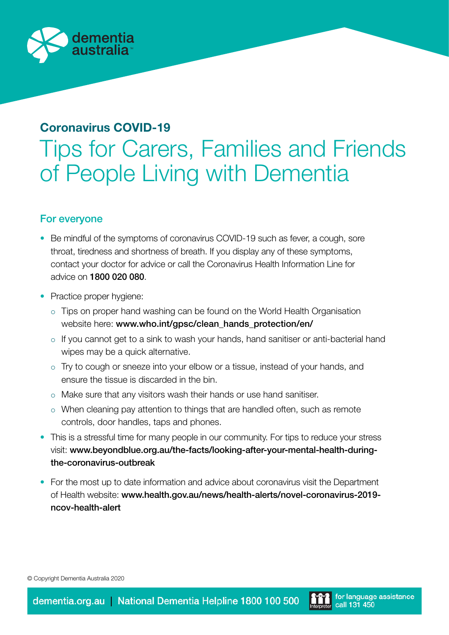

## Coronavirus COVID-19

# Tips for Carers, Families and Friends of People Living with Dementia

### For everyone

- Be mindful of the symptoms of coronavirus COVID-19 such as fever, a cough, sore throat, tiredness and shortness of breath. If you display any of these symptoms, contact your doctor for advice or call the Coronavirus Health Information Line for advice on [1800 020 080](tel:1800 020 080).
- Practice proper hygiene:
	- $\circ$  Tips on proper hand washing can be found on the World Health Organisation website here: [www.who.int/gpsc/clean\\_hands\\_protection/en/](http://www.who.int/gpsc/clean_hands_protection/en/)
	- $\circ$  If you cannot get to a sink to wash your hands, hand sanitiser or anti-bacterial hand wipes may be a quick alternative.
	- o Try to cough or sneeze into your elbow or a tissue, instead of your hands, and ensure the tissue is discarded in the bin.
	- o Make sure that any visitors wash their hands or use hand sanitiser.
	- $\circ$  When cleaning pay attention to things that are handled often, such as remote controls, door handles, taps and phones.
- This is a stressful time for many people in our community. For tips to reduce your stress visit: [www.beyondblue.org.au/the-facts/looking-after-your-mental-health-during](http://www.beyondblue.org.au/the-facts/looking-after-your-mental-health-during-the-coronavirus-outbreak)[the-coronavirus-outbreak](http://www.beyondblue.org.au/the-facts/looking-after-your-mental-health-during-the-coronavirus-outbreak)
- For the most up to date information and advice about coronavirus visit the Department of Health website: [www.health.gov.au/news/health-alerts/novel-coronavirus-2019](http://www.health.gov.au/news/health-alerts/novel-coronavirus-2019-ncov-health-alert) [ncov-health-alert](http://www.health.gov.au/news/health-alerts/novel-coronavirus-2019-ncov-health-alert)

© Copyright Dementia Australia 2020

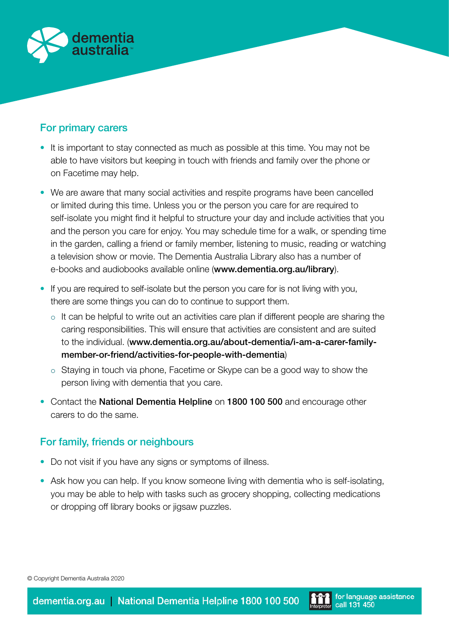

### For primary carers

- It is important to stay connected as much as possible at this time. You may not be able to have visitors but keeping in touch with friends and family over the phone or on Facetime may help.
- We are aware that many social activities and respite programs have been cancelled or limited during this time. Unless you or the person you care for are required to self-isolate you might find it helpful to structure your day and include activities that you and the person you care for enjoy. You may schedule time for a walk, or spending time in the garden, calling a friend or family member, listening to music, reading or watching a television show or movie. The Dementia Australia Library also has a number of e-books and audiobooks available online ([www.dementia.org.au/library](http://www.dementia.org.au/library)).
- If you are required to self-isolate but the person you care for is not living with you, there are some things you can do to continue to support them.
	- $\circ$  It can be helpful to write out an activities care plan if different people are sharing the caring responsibilities. This will ensure that activities are consistent and are suited to the individual. ([www.dementia.org.au/about-dementia/i-am-a-carer-family](http://www.dementia.org.au/about-dementia/i-am-a-carer-family-member-or-friend/activities-for-people-with-dementia/)[member-or-friend/activities-for-people-with-dementia](http://www.dementia.org.au/about-dementia/i-am-a-carer-family-member-or-friend/activities-for-people-with-dementia/))
	- $\circ$  Staying in touch via phone, Facetime or Skype can be a good way to show the person living with dementia that you care.
- Contact the National Dementia Helpline on [1800 100 500](tel:1800 100 500) and encourage other carers to do the same.

### For family, friends or neighbours

- Do not visit if you have any signs or symptoms of illness.
- Ask how you can help. If you know someone living with dementia who is self-isolating, you may be able to help with tasks such as grocery shopping, collecting medications or dropping off library books or jigsaw puzzles.

© Copyright Dementia Australia 2020

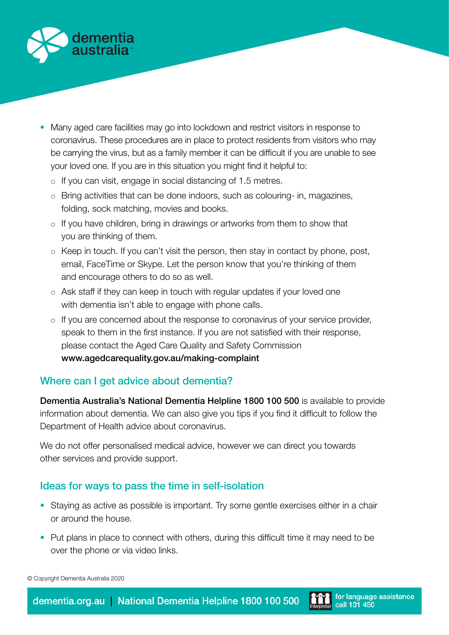

- Many aged care facilities may go into lockdown and restrict visitors in response to coronavirus. These procedures are in place to protect residents from visitors who may be carrying the virus, but as a family member it can be difficult if you are unable to see your loved one. If you are in this situation you might find it helpful to:
	- $\circ$  If you can visit, engage in social distancing of 1.5 metres.
	- $\circ$  Bring activities that can be done indoors, such as colouring- in, magazines, folding, sock matching, movies and books.
	- $\circ$  If you have children, bring in drawings or artworks from them to show that you are thinking of them.
	- $\circ$  Keep in touch. If you can't visit the person, then stay in contact by phone, post, email, FaceTime or Skype. Let the person know that you're thinking of them and encourage others to do so as well.
	- $\circ$  Ask staff if they can keep in touch with regular updates if your loved one with dementia isn't able to engage with phone calls.
	- $\circ$  If you are concerned about the response to coronavirus of your service provider, speak to them in the first instance. If you are not satisfied with their response, please contact the Aged Care Quality and Safety Commission [www.agedcarequality.gov.au/making-complaint](http://www.agedcarequality.gov.au/making-complaint)

### Where can I get advice about dementia?

Dementia Australia's National Dementia Helpline [1800 100 500](tel:1800 100 500) is available to provide information about dementia. We can also give you tips if you find it difficult to follow the Department of Health advice about coronavirus.

We do not offer personalised medical advice, however we can direct you towards other services and provide support.

### Ideas for ways to pass the time in self-isolation

- Staying as active as possible is important. Try some gentle exercises either in a chair or around the house.
- Put plans in place to connect with others, during this difficult time it may need to be over the phone or via video links.

© Copyright Dementia Australia 2020

dementia.org.au | National Dementia Helpline 1800 100 500

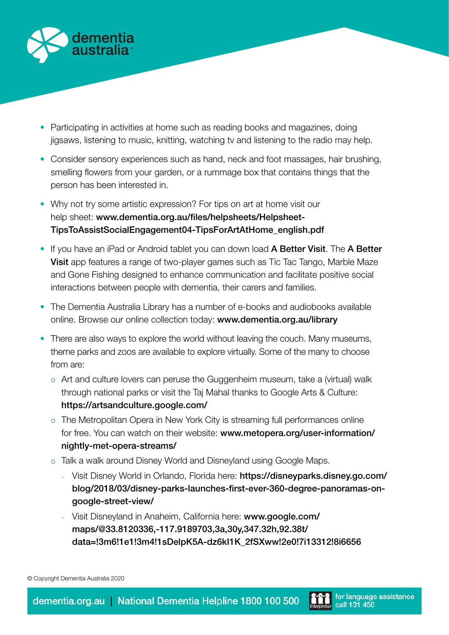

- Participating in activities at home such as reading books and magazines, doing jigsaws, listening to music, knitting, watching tv and listening to the radio may help.
- Consider sensory experiences such as hand, neck and foot massages, hair brushing, smelling flowers from your garden, or a rummage box that contains things that the person has been interested in.
- Why not try some artistic expression? For tips on art at home visit our help sheet: [www.dementia.org.au/files/helpsheets/Helpsheet-](http://www.dementia.org.au/files/helpsheets/Helpsheet-TipsToAssistSocialEngagement04-TipsForArtAtHome_english.pdf)[TipsToAssistSocialEngagement04-TipsForArtAtHome\\_english.pdf](http://www.dementia.org.au/files/helpsheets/Helpsheet-TipsToAssistSocialEngagement04-TipsForArtAtHome_english.pdf)
- If you have an iPad or Android tablet you can down load A Better Visit. The A Better Visit app features a range of two-player games such as Tic Tac Tango, Marble Maze and Gone Fishing designed to enhance communication and facilitate positive social interactions between people with dementia, their carers and families.
- The Dementia Australia Library has a number of e-books and audiobooks available online. Browse our online collection today: [www.dementia.org.au/library](http://www.dementia.org.au/library)
- There are also ways to explore the world without leaving the couch. Many museums, theme parks and zoos are available to explore virtually. Some of the many to choose from are:
	- $\circ$  Art and culture lovers can peruse the Guggenheim museum, take a (virtual) walk through national parks or visit the Taj Mahal thanks to Google Arts & Culture: <https://artsandculture.google.com/>
	- $\circ$  The Metropolitan Opera in New York City is streaming full performances online for free. You can watch on their website: [www.metopera.org/user-information/](http://www.metopera.org/user-information/nightly-met-opera-streams/) [nightly-met-opera-streams/](http://www.metopera.org/user-information/nightly-met-opera-streams/ )
	- o Talk a walk around Disney World and Disneyland using Google Maps.
		- Visit Disney World in Orlando, Florida here: [https://disneyparks.disney.go.com/](https://disneyparks.disney.go.com/blog/2018/03/disney-parks-launches-first-ever-360-degree-panoramas) [blog/2018/03/disney-parks-launches-first-ever-360-degree-panoramas-on](https://disneyparks.disney.go.com/blog/2018/03/disney-parks-launches-first-ever-360-degree-panoramas)[google-street-view/](https://disneyparks.disney.go.com/blog/2018/03/disney-parks-launches-first-ever-360-degree-panoramas)
		- Visit Disneyland in Anaheim, California here: [www.google.com/](https://www.google.com/maps/@33.8120336,-117.9189703,3a,30y,347.32h,92.38t/data=!3m6!1e1!3m4!1sDelpK5A-dz6kI1K_2fSXww!2e0!7i13312!8i6656) [maps/@33.8120336,-117.9189703,3a,30y,347.32h,92.38t/](https://www.google.com/maps/@33.8120336,-117.9189703,3a,30y,347.32h,92.38t/data=!3m6!1e1!3m4!1sDelpK5A-dz6kI1K_2fSXww!2e0!7i13312!8i6656) [data=!3m6!1e1!3m4!1sDelpK5A-dz6kI1K\\_2fSXww!2e0!7i13312!8i6656](https://www.google.com/maps/@33.8120336,-117.9189703,3a,30y,347.32h,92.38t/data=!3m6!1e1!3m4!1sDelpK5A-dz6kI1K_2fSXww!2e0!7i13312!8i6656)